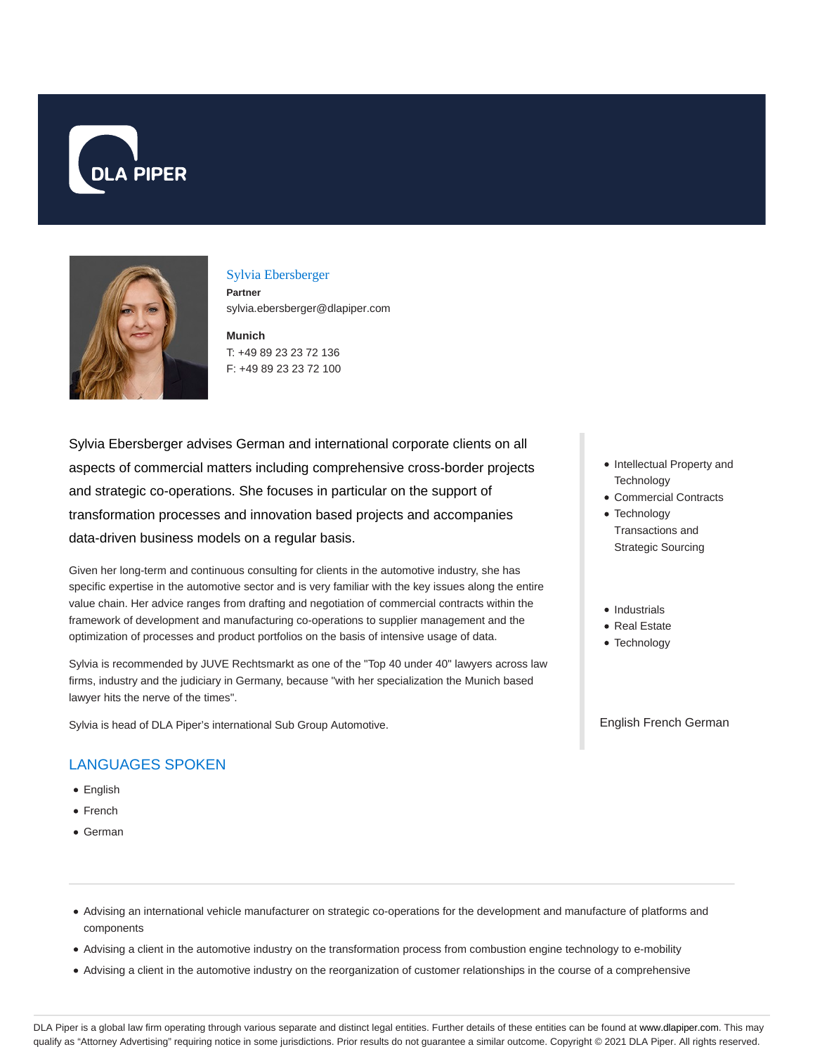



#### Sylvia Ebersberger

**Partner** sylvia.ebersberger@dlapiper.com

**Munich** T: +49 89 23 23 72 136 F: +49 89 23 23 72 100

Sylvia Ebersberger advises German and international corporate clients on all aspects of commercial matters including comprehensive cross-border projects and strategic co-operations. She focuses in particular on the support of transformation processes and innovation based projects and accompanies data-driven business models on a regular basis.

Given her long-term and continuous consulting for clients in the automotive industry, she has specific expertise in the automotive sector and is very familiar with the key issues along the entire value chain. Her advice ranges from drafting and negotiation of commercial contracts within the framework of development and manufacturing co-operations to supplier management and the optimization of processes and product portfolios on the basis of intensive usage of data.

Sylvia is recommended by JUVE Rechtsmarkt as one of the "Top 40 under 40" lawyers across law firms, industry and the judiciary in Germany, because "with her specialization the Munich based lawyer hits the nerve of the times".

Sylvia is head of DLA Piper's international Sub Group Automotive.

# LANGUAGES SPOKEN

- English
- French
- German
- Intellectual Property and **Technology**
- Commercial Contracts
- Technology Transactions and Strategic Sourcing
- Industrials
- Real Estate
- Technology

English French German

- Advising an international vehicle manufacturer on strategic co-operations for the development and manufacture of platforms and components
- Advising a client in the automotive industry on the transformation process from combustion engine technology to e-mobility
- Advising a client in the automotive industry on the reorganization of customer relationships in the course of a comprehensive

DLA Piper is a global law firm operating through various separate and distinct legal entities. Further details of these entities can be found at www.dlapiper.com. This may qualify as "Attorney Advertising" requiring notice in some jurisdictions. Prior results do not guarantee a similar outcome. Copyright © 2021 DLA Piper. All rights reserved.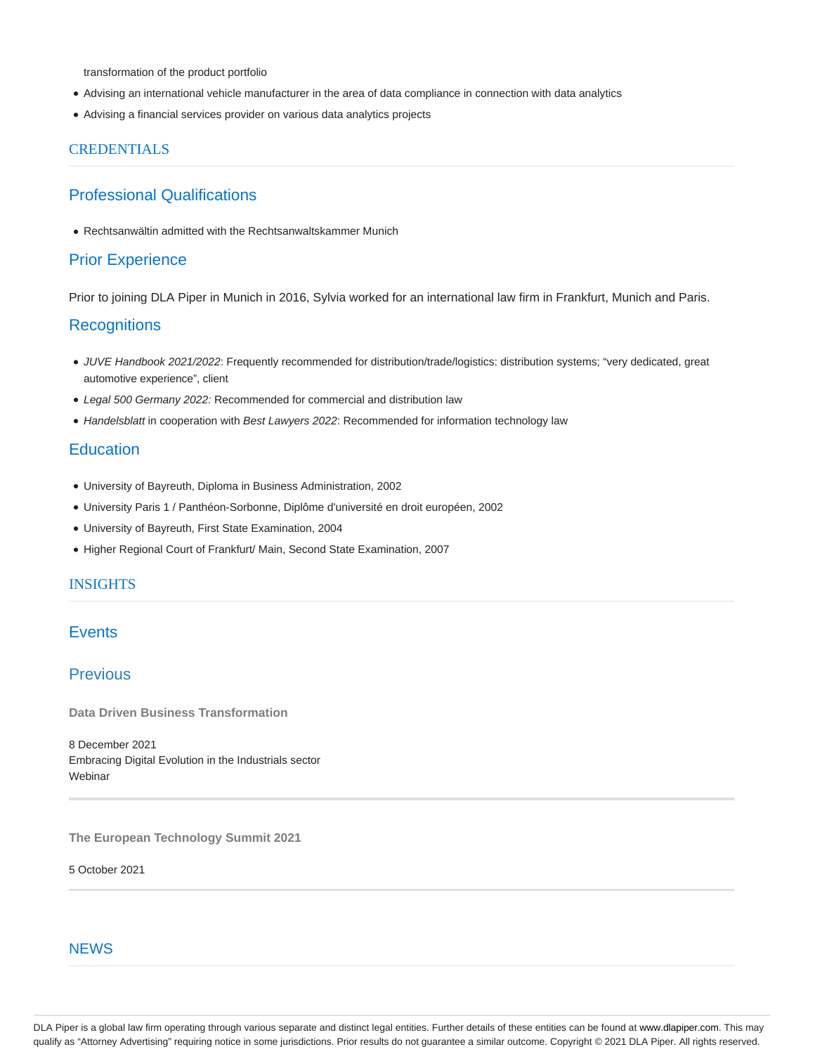transformation of the product portfolio

- Advising an international vehicle manufacturer in the area of data compliance in connection with data analytics
- Advising a financial services provider on various data analytics projects

#### **CREDENTIALS**

## Professional Qualifications

Rechtsanwältin admitted with the Rechtsanwaltskammer Munich

#### Prior Experience

Prior to joining DLA Piper in Munich in 2016, Sylvia worked for an international law firm in Frankfurt, Munich and Paris.

### **Recognitions**

- JUVE Handbook 2021/2022: Frequently recommended for distribution/trade/logistics: distribution systems; "very dedicated, great automotive experience", client
- Legal 500 Germany 2022: Recommended for commercial and distribution law
- Handelsblatt in cooperation with Best Lawyers 2022: Recommended for information technology law

## **Education**

- University of Bayreuth, Diploma in Business Administration, 2002
- University Paris 1 / Panthéon-Sorbonne, Diplôme d'université en droit européen, 2002
- University of Bayreuth, First State Examination, 2004
- Higher Regional Court of Frankfurt/ Main, Second State Examination, 2007

### INSIGHTS

## **Events**

## Previous

**Data Driven Business Transformation**

8 December 2021 Embracing Digital Evolution in the Industrials sector **Webinar** 

**The European Technology Summit 2021**

5 October 2021

#### **NEWS**

DLA Piper is a global law firm operating through various separate and distinct legal entities. Further details of these entities can be found at www.dlapiper.com. This may qualify as "Attorney Advertising" requiring notice in some jurisdictions. Prior results do not guarantee a similar outcome. Copyright © 2021 DLA Piper. All rights reserved.